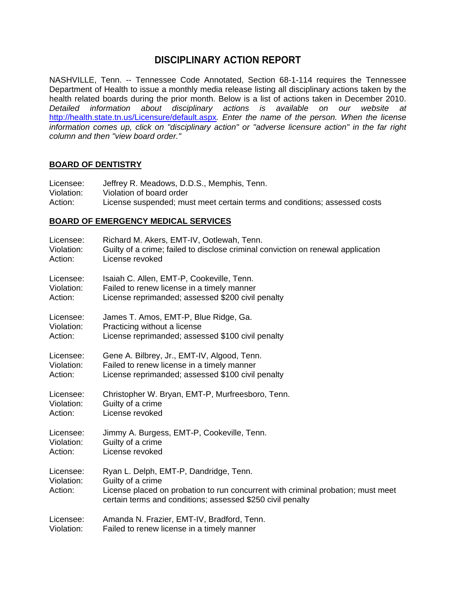# **DISCIPLINARY ACTION REPORT**

NASHVILLE, Tenn. -- Tennessee Code Annotated, Section 68-1-114 requires the Tennessee Department of Health to issue a monthly media release listing all disciplinary actions taken by the health related boards during the prior month. Below is a list of actions taken in December 2010. *Detailed information about disciplinary actions is available on our website at*  <http://health.state.tn.us/Licensure/default.aspx>*. Enter the name of the person. When the license information comes up, click on "disciplinary action" or "adverse licensure action" in the far right column and then "view board order."* 

### **BOARD OF DENTISTRY**

Licensee: Jeffrey R. Meadows, D.D.S., Memphis, Tenn.<br>Violation: Violation of board order Violation: Violation of board order<br>Action: License suspended: mu License suspended; must meet certain terms and conditions; assessed costs

#### **BOARD OF EMERGENCY MEDICAL SERVICES**

| Licensee:                          | Richard M. Akers, EMT-IV, Ootlewah, Tenn.                                                                                                                                                                     |
|------------------------------------|---------------------------------------------------------------------------------------------------------------------------------------------------------------------------------------------------------------|
| Violation:                         | Guilty of a crime; failed to disclose criminal conviction on renewal application                                                                                                                              |
| Action:                            | License revoked                                                                                                                                                                                               |
| Licensee:                          | Isaiah C. Allen, EMT-P, Cookeville, Tenn.                                                                                                                                                                     |
| Violation:                         | Failed to renew license in a timely manner                                                                                                                                                                    |
| Action:                            | License reprimanded; assessed \$200 civil penalty                                                                                                                                                             |
| Licensee:                          | James T. Amos, EMT-P, Blue Ridge, Ga.                                                                                                                                                                         |
| Violation:                         | Practicing without a license                                                                                                                                                                                  |
| Action:                            | License reprimanded; assessed \$100 civil penalty                                                                                                                                                             |
| Licensee:                          | Gene A. Bilbrey, Jr., EMT-IV, Algood, Tenn.                                                                                                                                                                   |
| Violation:                         | Failed to renew license in a timely manner                                                                                                                                                                    |
| Action:                            | License reprimanded; assessed \$100 civil penalty                                                                                                                                                             |
| Licensee:                          | Christopher W. Bryan, EMT-P, Murfreesboro, Tenn.                                                                                                                                                              |
| Violation:                         | Guilty of a crime                                                                                                                                                                                             |
| Action:                            | License revoked                                                                                                                                                                                               |
| Licensee:                          | Jimmy A. Burgess, EMT-P, Cookeville, Tenn.                                                                                                                                                                    |
| Violation:                         | Guilty of a crime                                                                                                                                                                                             |
| Action:                            | License revoked                                                                                                                                                                                               |
| Licensee:<br>Violation:<br>Action: | Ryan L. Delph, EMT-P, Dandridge, Tenn.<br>Guilty of a crime<br>License placed on probation to run concurrent with criminal probation; must meet<br>certain terms and conditions; assessed \$250 civil penalty |
| Licensee:                          | Amanda N. Frazier, EMT-IV, Bradford, Tenn.                                                                                                                                                                    |
| Violation:                         | Failed to renew license in a timely manner                                                                                                                                                                    |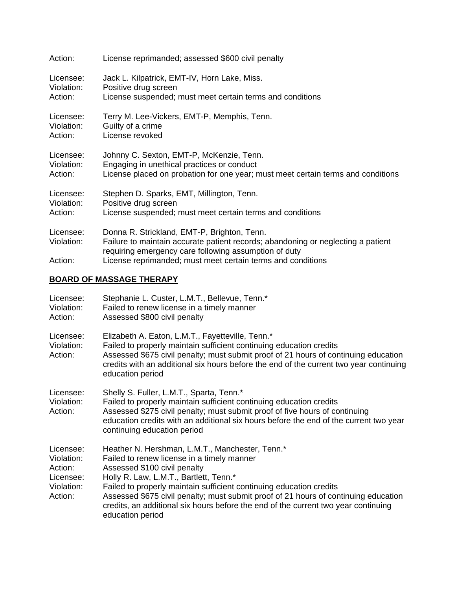| Action:                            | License reprimanded; assessed \$600 civil penalty                                                                                                                                                                                                       |
|------------------------------------|---------------------------------------------------------------------------------------------------------------------------------------------------------------------------------------------------------------------------------------------------------|
| Licensee:                          | Jack L. Kilpatrick, EMT-IV, Horn Lake, Miss.                                                                                                                                                                                                            |
| Violation:                         | Positive drug screen                                                                                                                                                                                                                                    |
| Action:                            | License suspended; must meet certain terms and conditions                                                                                                                                                                                               |
| Licensee:                          | Terry M. Lee-Vickers, EMT-P, Memphis, Tenn.                                                                                                                                                                                                             |
| Violation:                         | Guilty of a crime                                                                                                                                                                                                                                       |
| Action:                            | License revoked                                                                                                                                                                                                                                         |
| Licensee:                          | Johnny C. Sexton, EMT-P, McKenzie, Tenn.                                                                                                                                                                                                                |
| Violation:                         | Engaging in unethical practices or conduct                                                                                                                                                                                                              |
| Action:                            | License placed on probation for one year; must meet certain terms and conditions                                                                                                                                                                        |
| Licensee:                          | Stephen D. Sparks, EMT, Millington, Tenn.                                                                                                                                                                                                               |
| Violation:                         | Positive drug screen                                                                                                                                                                                                                                    |
| Action:                            | License suspended; must meet certain terms and conditions                                                                                                                                                                                               |
| Licensee:<br>Violation:<br>Action: | Donna R. Strickland, EMT-P, Brighton, Tenn.<br>Failure to maintain accurate patient records; abandoning or neglecting a patient<br>requiring emergency care following assumption of duty<br>License reprimanded; must meet certain terms and conditions |

## **BOARD OF MASSAGE THERAPY**

| Licensee:<br>Violation:<br>Action:                                       | Stephanie L. Custer, L.M.T., Bellevue, Tenn.*<br>Failed to renew license in a timely manner<br>Assessed \$800 civil penalty                                                                                                                                                                                                                                                                                                                     |
|--------------------------------------------------------------------------|-------------------------------------------------------------------------------------------------------------------------------------------------------------------------------------------------------------------------------------------------------------------------------------------------------------------------------------------------------------------------------------------------------------------------------------------------|
| Licensee:<br>Violation:<br>Action:                                       | Elizabeth A. Eaton, L.M.T., Fayetteville, Tenn.*<br>Failed to properly maintain sufficient continuing education credits<br>Assessed \$675 civil penalty; must submit proof of 21 hours of continuing education<br>credits with an additional six hours before the end of the current two year continuing<br>education period                                                                                                                    |
| Licensee:<br>Violation:<br>Action:                                       | Shelly S. Fuller, L.M.T., Sparta, Tenn.*<br>Failed to properly maintain sufficient continuing education credits<br>Assessed \$275 civil penalty; must submit proof of five hours of continuing<br>education credits with an additional six hours before the end of the current two year<br>continuing education period                                                                                                                          |
| Licensee:<br>Violation:<br>Action:<br>Licensee:<br>Violation:<br>Action: | Heather N. Hershman, L.M.T., Manchester, Tenn.*<br>Failed to renew license in a timely manner<br>Assessed \$100 civil penalty<br>Holly R. Law, L.M.T., Bartlett, Tenn.*<br>Failed to properly maintain sufficient continuing education credits<br>Assessed \$675 civil penalty; must submit proof of 21 hours of continuing education<br>credits, an additional six hours before the end of the current two year continuing<br>education period |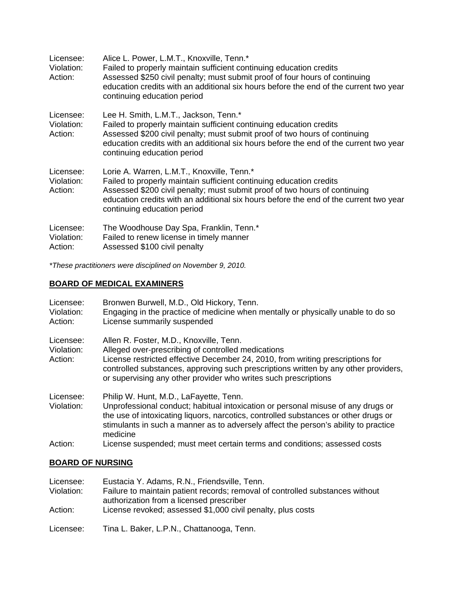| Licensee:<br>Violation:<br>Action: | Alice L. Power, L.M.T., Knoxville, Tenn.*<br>Failed to properly maintain sufficient continuing education credits<br>Assessed \$250 civil penalty; must submit proof of four hours of continuing<br>education credits with an additional six hours before the end of the current two year<br>continuing education period |
|------------------------------------|-------------------------------------------------------------------------------------------------------------------------------------------------------------------------------------------------------------------------------------------------------------------------------------------------------------------------|
| Licensee:<br>Violation:<br>Action: | Lee H. Smith, L.M.T., Jackson, Tenn.*<br>Failed to properly maintain sufficient continuing education credits<br>Assessed \$200 civil penalty; must submit proof of two hours of continuing<br>education credits with an additional six hours before the end of the current two year<br>continuing education period      |
| Licensee:<br>Violation:<br>Action: | Lorie A. Warren, L.M.T., Knoxville, Tenn.*<br>Failed to properly maintain sufficient continuing education credits<br>Assessed \$200 civil penalty; must submit proof of two hours of continuing<br>education credits with an additional six hours before the end of the current two year<br>continuing education period |
| Licensee:<br>Violation:<br>Action: | The Woodhouse Day Spa, Franklin, Tenn.*<br>Failed to renew license in timely manner<br>Assessed \$100 civil penalty                                                                                                                                                                                                     |

*\*These practitioners were disciplined on November 9, 2010.* 

## **BOARD OF MEDICAL EXAMINERS**

| Licensee:<br>Violation:<br>Action: | Bronwen Burwell, M.D., Old Hickory, Tenn.<br>Engaging in the practice of medicine when mentally or physically unable to do so<br>License summarily suspended                                                                                                                                                                              |
|------------------------------------|-------------------------------------------------------------------------------------------------------------------------------------------------------------------------------------------------------------------------------------------------------------------------------------------------------------------------------------------|
| Licensee:<br>Violation:<br>Action: | Allen R. Foster, M.D., Knoxville, Tenn.<br>Alleged over-prescribing of controlled medications<br>License restricted effective December 24, 2010, from writing prescriptions for<br>controlled substances, approving such prescriptions written by any other providers,<br>or supervising any other provider who writes such prescriptions |
| Licensee:<br>Violation:            | Philip W. Hunt, M.D., LaFayette, Tenn.<br>Unprofessional conduct; habitual intoxication or personal misuse of any drugs or<br>the use of intoxicating liquors, narcotics, controlled substances or other drugs or<br>stimulants in such a manner as to adversely affect the person's ability to practice<br>medicine                      |
| Action:                            | License suspended; must meet certain terms and conditions; assessed costs                                                                                                                                                                                                                                                                 |

### **BOARD OF NURSING**

| Licensee:  | Eustacia Y. Adams, R.N., Friendsville, Tenn.                                                                              |
|------------|---------------------------------------------------------------------------------------------------------------------------|
| Violation: | Failure to maintain patient records; removal of controlled substances without<br>authorization from a licensed prescriber |
| Action:    | License revoked; assessed \$1,000 civil penalty, plus costs                                                               |
| Licensee:  | Tina L. Baker, L.P.N., Chattanooga, Tenn.                                                                                 |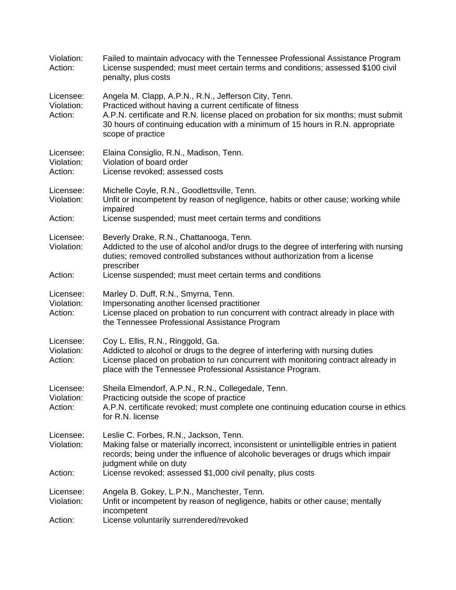| Violation:<br>Action:              | Failed to maintain advocacy with the Tennessee Professional Assistance Program<br>License suspended; must meet certain terms and conditions; assessed \$100 civil<br>penalty, plus costs                                                                                                                         |
|------------------------------------|------------------------------------------------------------------------------------------------------------------------------------------------------------------------------------------------------------------------------------------------------------------------------------------------------------------|
| Licensee:<br>Violation:<br>Action: | Angela M. Clapp, A.P.N., R.N., Jefferson City, Tenn.<br>Practiced without having a current certificate of fitness<br>A.P.N. certificate and R.N. license placed on probation for six months; must submit<br>30 hours of continuing education with a minimum of 15 hours in R.N. appropriate<br>scope of practice |
| Licensee:<br>Violation:<br>Action: | Elaina Consiglio, R.N., Madison, Tenn.<br>Violation of board order<br>License revoked; assessed costs                                                                                                                                                                                                            |
| Licensee:<br>Violation:            | Michelle Coyle, R.N., Goodlettsville, Tenn.<br>Unfit or incompetent by reason of negligence, habits or other cause; working while<br>impaired                                                                                                                                                                    |
| Action:                            | License suspended; must meet certain terms and conditions                                                                                                                                                                                                                                                        |
| Licensee:<br>Violation:            | Beverly Drake, R.N., Chattanooga, Tenn.<br>Addicted to the use of alcohol and/or drugs to the degree of interfering with nursing<br>duties; removed controlled substances without authorization from a license<br>prescriber                                                                                     |
| Action:                            | License suspended; must meet certain terms and conditions                                                                                                                                                                                                                                                        |
| Licensee:<br>Violation:<br>Action: | Marley D. Duff, R.N., Smyrna, Tenn.<br>Impersonating another licensed practitioner<br>License placed on probation to run concurrent with contract already in place with<br>the Tennessee Professional Assistance Program                                                                                         |
| Licensee:<br>Violation:<br>Action: | Coy L. Ellis, R.N., Ringgold, Ga.<br>Addicted to alcohol or drugs to the degree of interfering with nursing duties<br>License placed on probation to run concurrent with monitoring contract already in<br>place with the Tennessee Professional Assistance Program.                                             |
| Licensee:<br>Violation:<br>Action: | Sheila Elmendorf, A.P.N., R.N., Collegedale, Tenn.<br>Practicing outside the scope of practice<br>A.P.N. certificate revoked; must complete one continuing education course in ethics<br>for R.N. license                                                                                                        |
| Licensee:<br>Violation:            | Leslie C. Forbes, R.N., Jackson, Tenn.<br>Making false or materially incorrect, inconsistent or unintelligible entries in patient<br>records; being under the influence of alcoholic beverages or drugs which impair<br>judgment while on duty                                                                   |
| Action:                            | License revoked; assessed \$1,000 civil penalty, plus costs                                                                                                                                                                                                                                                      |
| Licensee:<br>Violation:            | Angela B. Gokey, L.P.N., Manchester, Tenn.<br>Unfit or incompetent by reason of negligence, habits or other cause; mentally<br>incompetent                                                                                                                                                                       |
| Action:                            | License voluntarily surrendered/revoked                                                                                                                                                                                                                                                                          |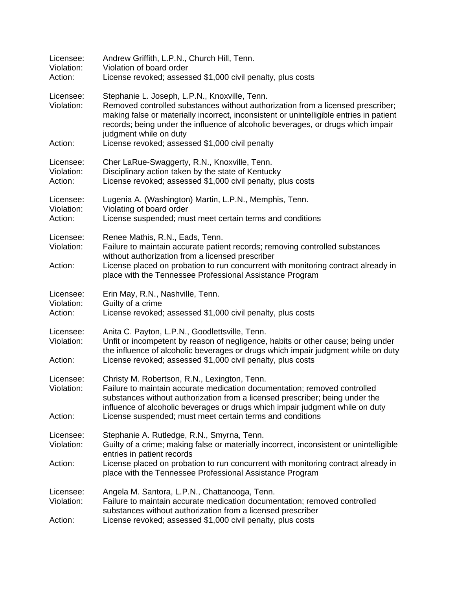| Licensee:<br>Violation:<br>Action: | Andrew Griffith, L.P.N., Church Hill, Tenn.<br>Violation of board order<br>License revoked; assessed \$1,000 civil penalty, plus costs                                                                                                                                                                                                                  |
|------------------------------------|---------------------------------------------------------------------------------------------------------------------------------------------------------------------------------------------------------------------------------------------------------------------------------------------------------------------------------------------------------|
| Licensee:<br>Violation:            | Stephanie L. Joseph, L.P.N., Knoxville, Tenn.<br>Removed controlled substances without authorization from a licensed prescriber;<br>making false or materially incorrect, inconsistent or unintelligible entries in patient<br>records; being under the influence of alcoholic beverages, or drugs which impair<br>judgment while on duty               |
| Action:                            | License revoked; assessed \$1,000 civil penalty                                                                                                                                                                                                                                                                                                         |
| Licensee:<br>Violation:<br>Action: | Cher LaRue-Swaggerty, R.N., Knoxville, Tenn.<br>Disciplinary action taken by the state of Kentucky<br>License revoked; assessed \$1,000 civil penalty, plus costs                                                                                                                                                                                       |
| Licensee:<br>Violation:            | Lugenia A. (Washington) Martin, L.P.N., Memphis, Tenn.<br>Violating of board order                                                                                                                                                                                                                                                                      |
| Action:                            | License suspended; must meet certain terms and conditions                                                                                                                                                                                                                                                                                               |
| Licensee:<br>Violation:            | Renee Mathis, R.N., Eads, Tenn.<br>Failure to maintain accurate patient records; removing controlled substances<br>without authorization from a licensed prescriber                                                                                                                                                                                     |
| Action:                            | License placed on probation to run concurrent with monitoring contract already in<br>place with the Tennessee Professional Assistance Program                                                                                                                                                                                                           |
| Licensee:<br>Violation:<br>Action: | Erin May, R.N., Nashville, Tenn.<br>Guilty of a crime<br>License revoked; assessed \$1,000 civil penalty, plus costs                                                                                                                                                                                                                                    |
| Licensee:<br>Violation:<br>Action: | Anita C. Payton, L.P.N., Goodlettsville, Tenn.<br>Unfit or incompetent by reason of negligence, habits or other cause; being under<br>the influence of alcoholic beverages or drugs which impair judgment while on duty<br>License revoked; assessed \$1,000 civil penalty, plus costs                                                                  |
| Licensee:<br>Violation:<br>Action: | Christy M. Robertson, R.N., Lexington, Tenn.<br>Failure to maintain accurate medication documentation; removed controlled<br>substances without authorization from a licensed prescriber; being under the<br>influence of alcoholic beverages or drugs which impair judgment while on duty<br>License suspended; must meet certain terms and conditions |
|                                    |                                                                                                                                                                                                                                                                                                                                                         |
| Licensee:<br>Violation:            | Stephanie A. Rutledge, R.N., Smyrna, Tenn.<br>Guilty of a crime; making false or materially incorrect, inconsistent or unintelligible<br>entries in patient records                                                                                                                                                                                     |
| Action:                            | License placed on probation to run concurrent with monitoring contract already in<br>place with the Tennessee Professional Assistance Program                                                                                                                                                                                                           |
| Licensee:<br>Violation:<br>Action: | Angela M. Santora, L.P.N., Chattanooga, Tenn.<br>Failure to maintain accurate medication documentation; removed controlled<br>substances without authorization from a licensed prescriber<br>License revoked; assessed \$1,000 civil penalty, plus costs                                                                                                |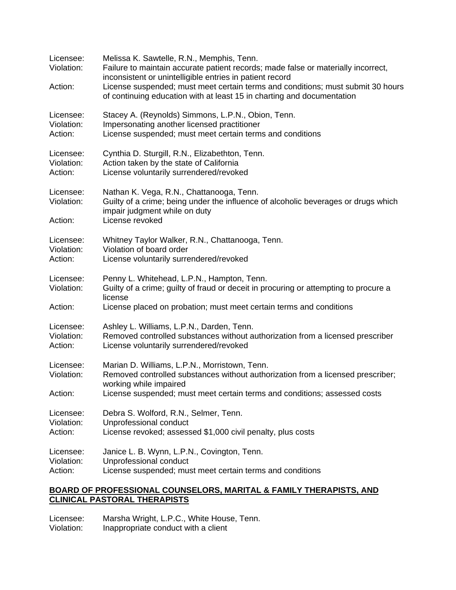| Licensee:<br>Violation:<br>Action: | Melissa K. Sawtelle, R.N., Memphis, Tenn.<br>Failure to maintain accurate patient records; made false or materially incorrect,<br>inconsistent or unintelligible entries in patient record<br>License suspended; must meet certain terms and conditions; must submit 30 hours<br>of continuing education with at least 15 in charting and documentation |
|------------------------------------|---------------------------------------------------------------------------------------------------------------------------------------------------------------------------------------------------------------------------------------------------------------------------------------------------------------------------------------------------------|
| Licensee:                          | Stacey A. (Reynolds) Simmons, L.P.N., Obion, Tenn.                                                                                                                                                                                                                                                                                                      |
| Violation:                         | Impersonating another licensed practitioner                                                                                                                                                                                                                                                                                                             |
| Action:                            | License suspended; must meet certain terms and conditions                                                                                                                                                                                                                                                                                               |
| Licensee:                          | Cynthia D. Sturgill, R.N., Elizabethton, Tenn.                                                                                                                                                                                                                                                                                                          |
| Violation:                         | Action taken by the state of California                                                                                                                                                                                                                                                                                                                 |
| Action:                            | License voluntarily surrendered/revoked                                                                                                                                                                                                                                                                                                                 |
| Licensee:<br>Violation:<br>Action: | Nathan K. Vega, R.N., Chattanooga, Tenn.<br>Guilty of a crime; being under the influence of alcoholic beverages or drugs which<br>impair judgment while on duty<br>License revoked                                                                                                                                                                      |
| Licensee:                          | Whitney Taylor Walker, R.N., Chattanooga, Tenn.                                                                                                                                                                                                                                                                                                         |
| Violation:                         | Violation of board order                                                                                                                                                                                                                                                                                                                                |
| Action:                            | License voluntarily surrendered/revoked                                                                                                                                                                                                                                                                                                                 |
| Licensee:<br>Violation:<br>Action: | Penny L. Whitehead, L.P.N., Hampton, Tenn.<br>Guilty of a crime; guilty of fraud or deceit in procuring or attempting to procure a<br>license<br>License placed on probation; must meet certain terms and conditions                                                                                                                                    |
| Licensee:                          | Ashley L. Williams, L.P.N., Darden, Tenn.                                                                                                                                                                                                                                                                                                               |
| Violation:                         | Removed controlled substances without authorization from a licensed prescriber                                                                                                                                                                                                                                                                          |
| Action:                            | License voluntarily surrendered/revoked                                                                                                                                                                                                                                                                                                                 |
| Licensee:<br>Violation:<br>Action: | Marian D. Williams, L.P.N., Morristown, Tenn.<br>Removed controlled substances without authorization from a licensed prescriber;<br>working while impaired<br>License suspended; must meet certain terms and conditions; assessed costs                                                                                                                 |
| Licensee:                          | Debra S. Wolford, R.N., Selmer, Tenn.                                                                                                                                                                                                                                                                                                                   |
| Violation:                         | Unprofessional conduct                                                                                                                                                                                                                                                                                                                                  |
| Action:                            | License revoked; assessed \$1,000 civil penalty, plus costs                                                                                                                                                                                                                                                                                             |
| Licensee:                          | Janice L. B. Wynn, L.P.N., Covington, Tenn.                                                                                                                                                                                                                                                                                                             |
| Violation:                         | Unprofessional conduct                                                                                                                                                                                                                                                                                                                                  |
| Action:                            | License suspended; must meet certain terms and conditions                                                                                                                                                                                                                                                                                               |

## **BOARD OF PROFESSIONAL COUNSELORS, MARITAL & FAMILY THERAPISTS, AND CLINICAL PASTORAL THERAPISTS**

Licensee: Marsha Wright, L.P.C., White House, Tenn. Violation: Inappropriate conduct with a client